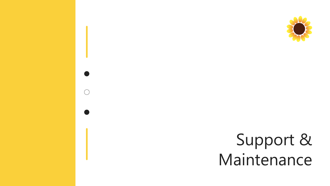



### Support & Maintenance

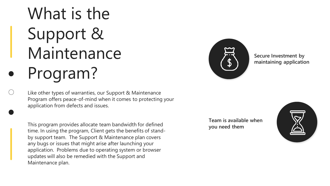# What is the Support & Maintenance Program?

Like other types of warranties, our Support & Maintenance Program offers peace-of-mind when it comes to protecting your application from defects and issues.

This program provides allocate team bandwidth for defined time. In using the program, Client gets the benefits of standby support team. The Support & Maintenance plan covers any bugs or issues that might arise after launching your application. Problems due to operating system or browser updates will also be remedied with the Support and Maintenance plan.



**Secure Investment by maintaining application**

**Team is available when you need them**



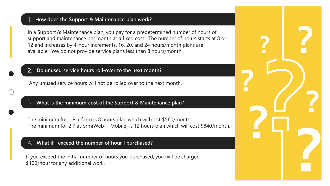### **1. How does the Support & Maintenance plan work?**

In a Support & Maintenance plan, you pay for a predetermined number of hours of support and maintenance per month at a fixed cost. The number of hours starts at 8 or 12 and increases by 4-hour increments. 16, 20, and 24 hours/month plans are available. We do not provide service plans less than 8 hours/month.

### **2. Do unused service hours roll-over to the next month?**

Any unused service hours will not be rolled over to the next month.

#### 4. **What if I exceed the number of hour I purchased?**

If you exceed the initial number of hours you purchased, you will be charged \$100/hour for any additional work.



### 3. **What is the minimum cost of the Support & Maintenance plan?**

The minimum for 1 Platform is 8 hours plan which will cost \$560/month. The minimum for 2 Platform(Web + Mobile) is 12 hours plan which will cost \$840/month.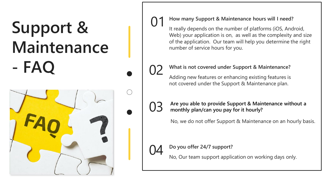## **Support & Maintenance - FAQ**



### 01 **How many Support & Maintenance hours will I need?**

It really depends on the number of platforms (iOS, Android, Web) your application is on, as well as the complexity and size of the application. Our team will help you determine the right number of service hours for you.

### 02 **What is not covered under Support & Maintenance?** Adding new features or enhancing existing features is not covered under the Support & Maintenance plan.

No, we do not offer Support & Maintenance on an hourly basis.

### Do you offer 24/7 support?

#### 03 **Are you able to provide Support & Maintenance without a monthly plan/can you pay for it hourly?**

No, Our team support application on working days only.

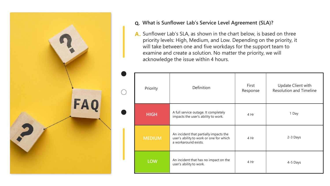### **Q. What is Sunflower Lab's Service Level Agreement (SLA)?**

A. Sunflower Lab's SLA, as shown in the chart below, is based on three priority levels: High, Medium, and Low. Depending on the priority, it will take between one and five workdays for the support team to examine and create a solution. No matter the priority, we will acknowledge the issue within 4 hours.



| riority      | Definition                                                                                                | First<br>Response | <b>Update Client with</b><br><b>Resolution and Timeli</b> |
|--------------|-----------------------------------------------------------------------------------------------------------|-------------------|-----------------------------------------------------------|
| <b>HIGH</b>  | A full service outage. It completely<br>impacts the user's ability to work.                               | 4 Hr              | 1 Day                                                     |
| <b>EDIUM</b> | An incident that partially impacts the<br>user's ability to work or one for which<br>a workaround exists. | 4 Hr              | 2-3 Days                                                  |
| <b>LOW</b>   | An incident that has no impact on the<br>user's ability to work.                                          | 4 Hr              | 4-5 Days                                                  |